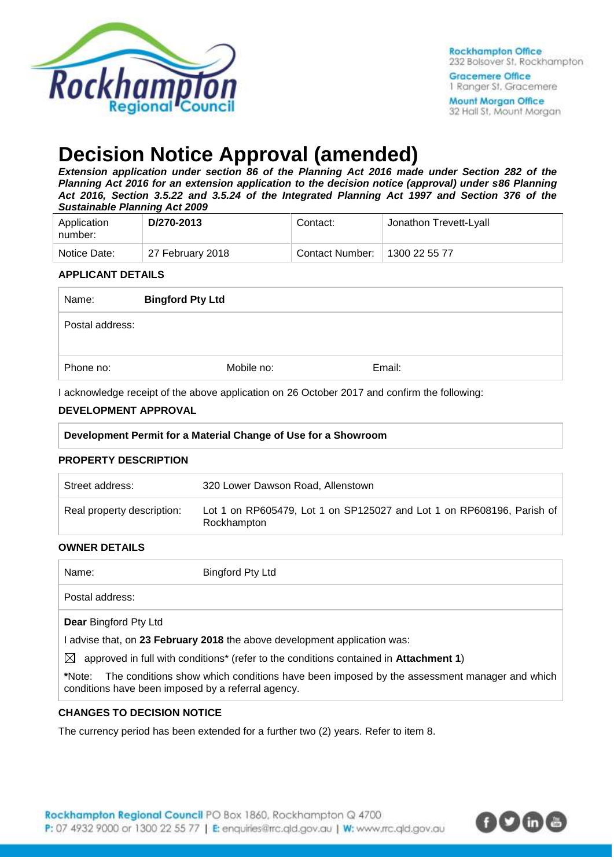

Gracemere Office 1 Ranger St. Gracemere **Mount Morgan Office** 32 Hall St, Mount Morgan

# **Decision Notice Approval (amended)**

*Extension application under section 86 of the Planning Act 2016 made under Section 282 of the Planning Act 2016 for an extension application to the decision notice (approval) under s86 Planning Act 2016, Section 3.5.22 and 3.5.24 of the Integrated Planning Act 1997 and Section 376 of the Sustainable Planning Act 2009*

| Application<br>number: | D/270-2013       | Contact:        | Jonathon Trevett-Lyall |
|------------------------|------------------|-----------------|------------------------|
| Notice Date:           | 27 February 2018 | Contact Number: | 1300 22 55 77          |

### **APPLICANT DETAILS**

| Name:           | <b>Bingford Pty Ltd</b> |        |  |
|-----------------|-------------------------|--------|--|
| Postal address: |                         |        |  |
| Phone no:       | Mobile no:              | Email: |  |

I acknowledge receipt of the above application on 26 October 2017 and confirm the following:

### **DEVELOPMENT APPROVAL**

#### **Development Permit for a Material Change of Use for a Showroom**

#### **PROPERTY DESCRIPTION**

| Street address:            | 320 Lower Dawson Road, Allenstown                                                    |
|----------------------------|--------------------------------------------------------------------------------------|
| Real property description: | Lot 1 on RP605479, Lot 1 on SP125027 and Lot 1 on RP608196, Parish of<br>Rockhampton |

#### **OWNER DETAILS**

| Name:                                                        | Bingford Pty Ltd                                                                           |
|--------------------------------------------------------------|--------------------------------------------------------------------------------------------|
| Postal address:                                              |                                                                                            |
| <b>Dear Bingford Pty Ltd</b>                                 |                                                                                            |
|                                                              | advise that, on 23 February 2018 the above development application was:                    |
| $\boxtimes$                                                  | approved in full with conditions* (refer to the conditions contained in Attachment 1)      |
| *Note:<br>conditions have been imposed by a referral agency. | The conditions show which conditions have been imposed by the assessment manager and which |

#### **CHANGES TO DECISION NOTICE**

The currency period has been extended for a further two (2) years. Refer to item 8.

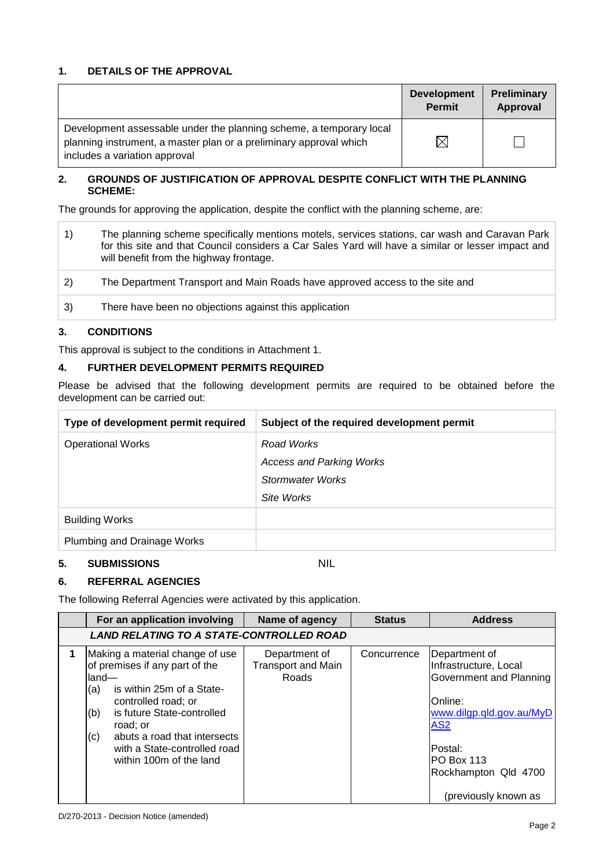## **1. DETAILS OF THE APPROVAL**

|                                                                                                                                                                            | <b>Development</b><br><b>Permit</b> | <b>Preliminary</b><br>Approval |
|----------------------------------------------------------------------------------------------------------------------------------------------------------------------------|-------------------------------------|--------------------------------|
| Development assessable under the planning scheme, a temporary local<br>planning instrument, a master plan or a preliminary approval which<br>includes a variation approval | $\times$                            |                                |

#### **2. GROUNDS OF JUSTIFICATION OF APPROVAL DESPITE CONFLICT WITH THE PLANNING SCHEME:**

The grounds for approving the application, despite the conflict with the planning scheme, are:

|    | The planning scheme specifically mentions motels, services stations, car wash and Caravan Park<br>for this site and that Council considers a Car Sales Yard will have a similar or lesser impact and<br>will benefit from the highway frontage. |
|----|-------------------------------------------------------------------------------------------------------------------------------------------------------------------------------------------------------------------------------------------------|
| 2) | The Department Transport and Main Roads have approved access to the site and                                                                                                                                                                    |
| 3) | There have been no objections against this application                                                                                                                                                                                          |

### **3. CONDITIONS**

This approval is subject to the conditions in Attachment 1.

#### **4. FURTHER DEVELOPMENT PERMITS REQUIRED**

Please be advised that the following development permits are required to be obtained before the development can be carried out:

| Type of development permit required | Subject of the required development permit |
|-------------------------------------|--------------------------------------------|
| <b>Operational Works</b>            | Road Works                                 |
|                                     | <b>Access and Parking Works</b>            |
|                                     | Stormwater Works                           |
|                                     | Site Works                                 |
| <b>Building Works</b>               |                                            |
| Plumbing and Drainage Works         |                                            |

#### **5. SUBMISSIONS** NIL

#### **6. REFERRAL AGENCIES**

The following Referral Agencies were activated by this application.

| For an application involving                                                                                                                                                                                                                                                              | Name of agency                                      | <b>Status</b> | <b>Address</b>                                                                                                                                                                                               |
|-------------------------------------------------------------------------------------------------------------------------------------------------------------------------------------------------------------------------------------------------------------------------------------------|-----------------------------------------------------|---------------|--------------------------------------------------------------------------------------------------------------------------------------------------------------------------------------------------------------|
| <b>LAND RELATING TO A STATE-CONTROLLED ROAD</b>                                                                                                                                                                                                                                           |                                                     |               |                                                                                                                                                                                                              |
| Making a material change of use<br>of premises if any part of the<br>lland—<br>is within 25m of a State-<br>(a)<br>controlled road; or<br>is future State-controlled<br>(b)<br>road; or<br>abuts a road that intersects<br>(c)<br>with a State-controlled road<br>within 100m of the land | Department of<br><b>Transport and Main</b><br>Roads | Concurrence   | Department of<br>Infrastructure, Local<br>Government and Planning<br><b>Online:</b><br>www.dilgp.qld.gov.au/MyD<br>AS <sub>2</sub><br>lPostal:<br>PO Box 113<br>Rockhampton Qld 4700<br>(previously known as |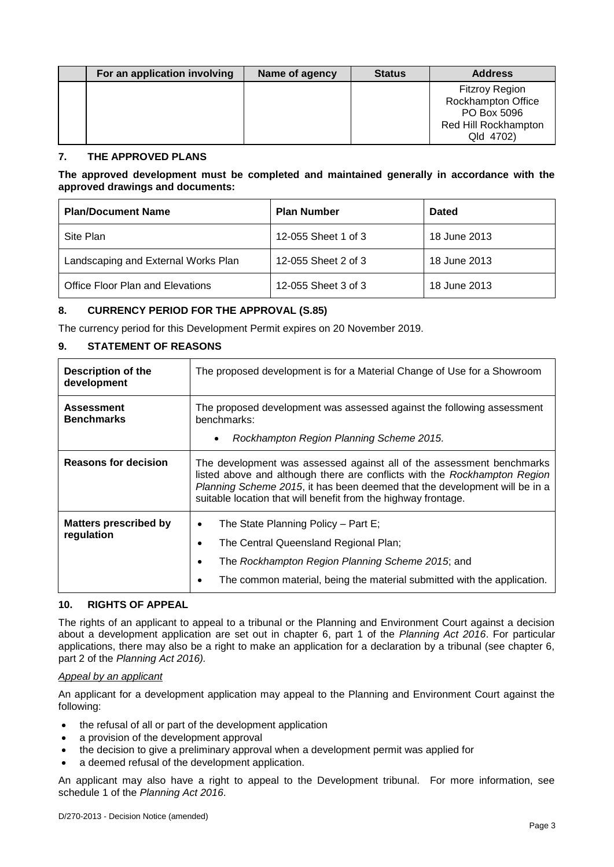| For an application involving | Name of agency | <b>Status</b> | <b>Address</b>                                                                                  |
|------------------------------|----------------|---------------|-------------------------------------------------------------------------------------------------|
|                              |                |               | <b>Fitzroy Region</b><br>Rockhampton Office<br>PO Box 5096<br>Red Hill Rockhampton<br>Qld 4702) |

#### **7. THE APPROVED PLANS**

#### **The approved development must be completed and maintained generally in accordance with the approved drawings and documents:**

| <b>Plan/Document Name</b>           | <b>Plan Number</b>  | <b>Dated</b> |
|-------------------------------------|---------------------|--------------|
| Site Plan                           | 12-055 Sheet 1 of 3 | 18 June 2013 |
| Landscaping and External Works Plan | 12-055 Sheet 2 of 3 | 18 June 2013 |
| Office Floor Plan and Elevations    | 12-055 Sheet 3 of 3 | 18 June 2013 |

#### **8. CURRENCY PERIOD FOR THE APPROVAL (S.85)**

The currency period for this Development Permit expires on 20 November 2019.

#### **9. STATEMENT OF REASONS**

| <b>Description of the</b><br>development   | The proposed development is for a Material Change of Use for a Showroom                                                                                                                                                                                                                            |  |
|--------------------------------------------|----------------------------------------------------------------------------------------------------------------------------------------------------------------------------------------------------------------------------------------------------------------------------------------------------|--|
| <b>Assessment</b><br><b>Benchmarks</b>     | The proposed development was assessed against the following assessment<br>benchmarks:<br>Rockhampton Region Planning Scheme 2015.<br>$\bullet$                                                                                                                                                     |  |
| <b>Reasons for decision</b>                | The development was assessed against all of the assessment benchmarks<br>listed above and although there are conflicts with the Rockhampton Region<br>Planning Scheme 2015, it has been deemed that the development will be in a<br>suitable location that will benefit from the highway frontage. |  |
| <b>Matters prescribed by</b><br>regulation | The State Planning Policy - Part E;<br>٠<br>The Central Queensland Regional Plan;<br>The Rockhampton Region Planning Scheme 2015; and<br>The common material, being the material submitted with the application.                                                                                   |  |

#### **10. RIGHTS OF APPEAL**

The rights of an applicant to appeal to a tribunal or the Planning and Environment Court against a decision about a development application are set out in chapter 6, part 1 of the *Planning Act 2016*. For particular applications, there may also be a right to make an application for a declaration by a tribunal (see chapter 6, part 2 of the *Planning Act 2016).*

#### *Appeal by an applicant*

An applicant for a development application may appeal to the Planning and Environment Court against the following:

- the refusal of all or part of the development application
- a provision of the development approval
- the decision to give a preliminary approval when a development permit was applied for
- a deemed refusal of the development application.

An applicant may also have a right to appeal to the Development tribunal. For more information, see schedule 1 of the *Planning Act 2016*.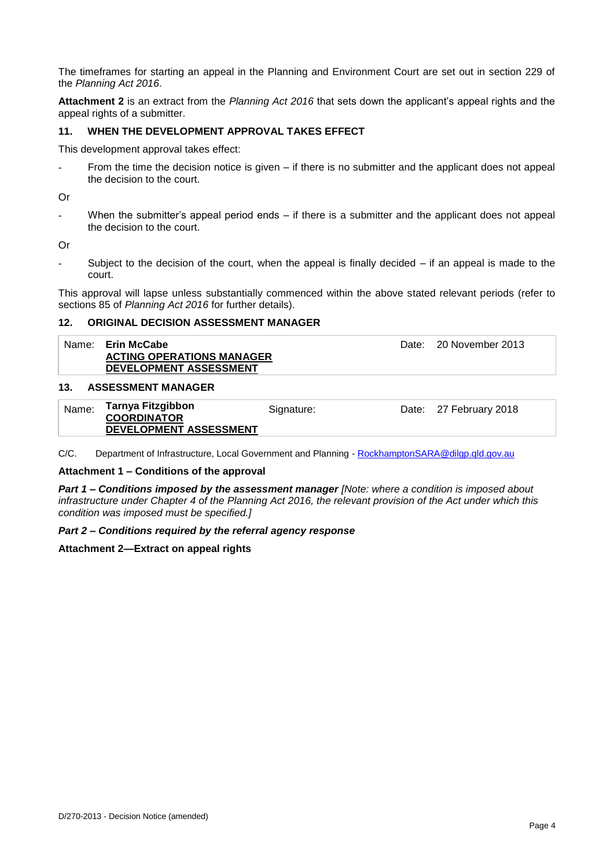The timeframes for starting an appeal in the Planning and Environment Court are set out in section 229 of the *Planning Act 2016*.

**Attachment 2** is an extract from the *Planning Act 2016* that sets down the applicant's appeal rights and the appeal rights of a submitter.

#### **11. WHEN THE DEVELOPMENT APPROVAL TAKES EFFECT**

This development approval takes effect:

From the time the decision notice is given – if there is no submitter and the applicant does not appeal the decision to the court.

Or

- When the submitter's appeal period ends – if there is a submitter and the applicant does not appeal the decision to the court.

Or

Subject to the decision of the court, when the appeal is finally decided  $-$  if an appeal is made to the court.

This approval will lapse unless substantially commenced within the above stated relevant periods (refer to sections 85 of *Planning Act 2016* for further details).

#### **12. ORIGINAL DECISION ASSESSMENT MANAGER**

| Name: | <b>Erin McCabe</b><br><b>ACTING OPERATIONS MANAGER</b><br><b>DEVELOPMENT ASSESSMENT</b> | Date: 20 November 2013 |
|-------|-----------------------------------------------------------------------------------------|------------------------|
| 13.   | <b>ASSESSMENT MANAGER</b>                                                               |                        |

| Name: | Tarnya Fitzgibbon      | Signature: | Date: 27 February 2018 |
|-------|------------------------|------------|------------------------|
|       | <b>COORDINATOR</b>     |            |                        |
|       | DEVELOPMENT ASSESSMENT |            |                        |

C/C. Department of Infrastructure, Local Government and Planning - [RockhamptonSARA@dilgp.qld.gov.au](mailto:RockhamptonSARA@dilgp.qld.gov.au)

#### **Attachment 1 – Conditions of the approval**

*Part 1* **–** *Conditions imposed by the assessment manager [Note: where a condition is imposed about infrastructure under Chapter 4 of the Planning Act 2016, the relevant provision of the Act under which this condition was imposed must be specified.]*

#### *Part 2 – Conditions required by the referral agency response*

#### **Attachment 2—Extract on appeal rights**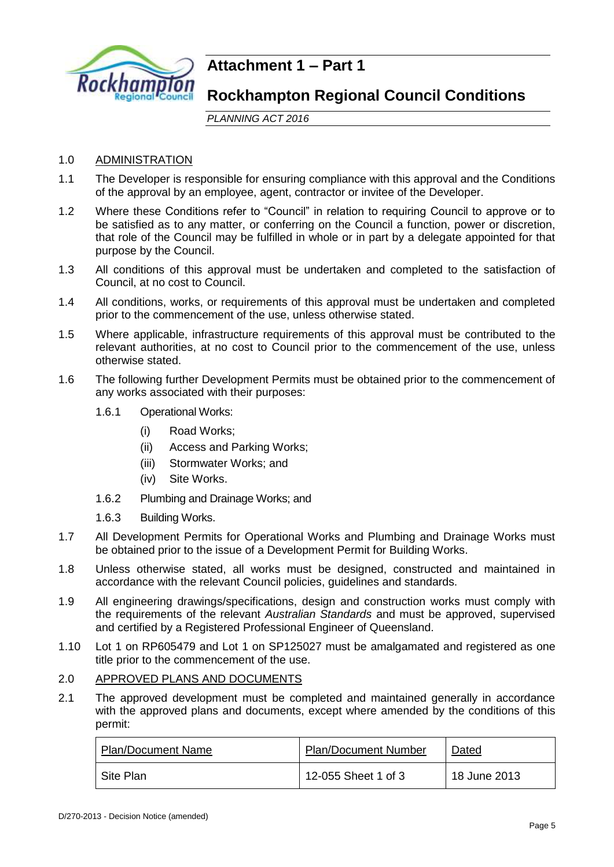

# **Attachment 1 – Part 1**

# **Rockhampton Regional Council Conditions**

*PLANNING ACT 2016*

# 1.0 ADMINISTRATION

- 1.1 The Developer is responsible for ensuring compliance with this approval and the Conditions of the approval by an employee, agent, contractor or invitee of the Developer.
- 1.2 Where these Conditions refer to "Council" in relation to requiring Council to approve or to be satisfied as to any matter, or conferring on the Council a function, power or discretion, that role of the Council may be fulfilled in whole or in part by a delegate appointed for that purpose by the Council.
- 1.3 All conditions of this approval must be undertaken and completed to the satisfaction of Council, at no cost to Council.
- 1.4 All conditions, works, or requirements of this approval must be undertaken and completed prior to the commencement of the use, unless otherwise stated.
- 1.5 Where applicable, infrastructure requirements of this approval must be contributed to the relevant authorities, at no cost to Council prior to the commencement of the use, unless otherwise stated.
- 1.6 The following further Development Permits must be obtained prior to the commencement of any works associated with their purposes:
	- 1.6.1 Operational Works:
		- (i) Road Works;
		- (ii) Access and Parking Works;
		- (iii) Stormwater Works; and
		- (iv) Site Works.
	- 1.6.2 Plumbing and Drainage Works; and
	- 1.6.3 Building Works.
- 1.7 All Development Permits for Operational Works and Plumbing and Drainage Works must be obtained prior to the issue of a Development Permit for Building Works.
- 1.8 Unless otherwise stated, all works must be designed, constructed and maintained in accordance with the relevant Council policies, guidelines and standards.
- 1.9 All engineering drawings/specifications, design and construction works must comply with the requirements of the relevant *Australian Standards* and must be approved, supervised and certified by a Registered Professional Engineer of Queensland.
- 1.10 Lot 1 on RP605479 and Lot 1 on SP125027 must be amalgamated and registered as one title prior to the commencement of the use.

#### 2.0 APPROVED PLANS AND DOCUMENTS

2.1 The approved development must be completed and maintained generally in accordance with the approved plans and documents, except where amended by the conditions of this permit:

| <b>Plan/Document Name</b> | <b>Plan/Document Number</b> | Dated        |
|---------------------------|-----------------------------|--------------|
| Site Plan                 | 12-055 Sheet 1 of 3         | 18 June 2013 |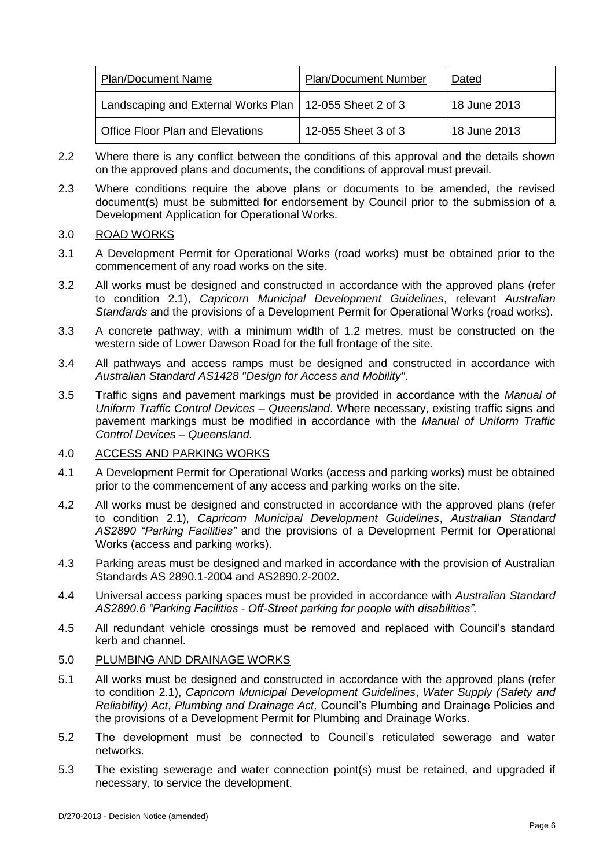| <b>Plan/Document Name</b>                                 | <b>Plan/Document Number</b> | Dated        |
|-----------------------------------------------------------|-----------------------------|--------------|
| Landscaping and External Works Plan   12-055 Sheet 2 of 3 |                             | 18 June 2013 |
| <b>Office Floor Plan and Elevations</b>                   | 12-055 Sheet 3 of 3         | 18 June 2013 |

- 2.2 Where there is any conflict between the conditions of this approval and the details shown on the approved plans and documents, the conditions of approval must prevail.
- 2.3 Where conditions require the above plans or documents to be amended, the revised document(s) must be submitted for endorsement by Council prior to the submission of a Development Application for Operational Works.

### 3.0 ROAD WORKS

- 3.1 A Development Permit for Operational Works (road works) must be obtained prior to the commencement of any road works on the site.
- 3.2 All works must be designed and constructed in accordance with the approved plans (refer to condition 2.1), *Capricorn Municipal Development Guidelines*, relevant *Australian Standards* and the provisions of a Development Permit for Operational Works (road works).
- 3.3 A concrete pathway, with a minimum width of 1.2 metres, must be constructed on the western side of Lower Dawson Road for the full frontage of the site.
- 3.4 All pathways and access ramps must be designed and constructed in accordance with *Australian Standard AS1428 "Design for Access and Mobility"*.
- 3.5 Traffic signs and pavement markings must be provided in accordance with the *Manual of Uniform Traffic Control Devices – Queensland*. Where necessary, existing traffic signs and pavement markings must be modified in accordance with the *Manual of Uniform Traffic Control Devices – Queensland.*

# 4.0 ACCESS AND PARKING WORKS

- 4.1 A Development Permit for Operational Works (access and parking works) must be obtained prior to the commencement of any access and parking works on the site.
- 4.2 All works must be designed and constructed in accordance with the approved plans (refer to condition 2.1), *Capricorn Municipal Development Guidelines*, *Australian Standard AS2890 "Parking Facilities"* and the provisions of a Development Permit for Operational Works (access and parking works).
- 4.3 Parking areas must be designed and marked in accordance with the provision of Australian Standards AS 2890.1-2004 and AS2890.2-2002.
- 4.4 Universal access parking spaces must be provided in accordance with *Australian Standard AS2890.6 "Parking Facilities - Off-Street parking for people with disabilities".*
- 4.5 All redundant vehicle crossings must be removed and replaced with Council's standard kerb and channel.

# 5.0 PLUMBING AND DRAINAGE WORKS

- 5.1 All works must be designed and constructed in accordance with the approved plans (refer to condition 2.1), *Capricorn Municipal Development Guidelines*, *Water Supply (Safety and Reliability) Act*, *Plumbing and Drainage Act,* Council's Plumbing and Drainage Policies and the provisions of a Development Permit for Plumbing and Drainage Works.
- 5.2 The development must be connected to Council's reticulated sewerage and water networks.
- 5.3 The existing sewerage and water connection point(s) must be retained, and upgraded if necessary, to service the development.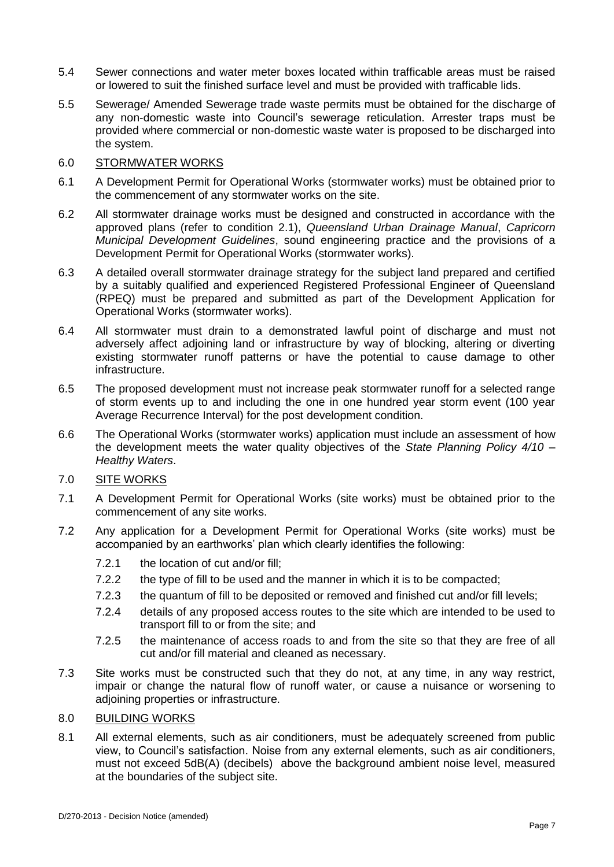- 5.4 Sewer connections and water meter boxes located within trafficable areas must be raised or lowered to suit the finished surface level and must be provided with trafficable lids.
- 5.5 Sewerage/ Amended Sewerage trade waste permits must be obtained for the discharge of any non-domestic waste into Council's sewerage reticulation. Arrester traps must be provided where commercial or non-domestic waste water is proposed to be discharged into the system.

### 6.0 STORMWATER WORKS

- 6.1 A Development Permit for Operational Works (stormwater works) must be obtained prior to the commencement of any stormwater works on the site.
- 6.2 All stormwater drainage works must be designed and constructed in accordance with the approved plans (refer to condition 2.1), *Queensland Urban Drainage Manual*, *Capricorn Municipal Development Guidelines*, sound engineering practice and the provisions of a Development Permit for Operational Works (stormwater works).
- 6.3 A detailed overall stormwater drainage strategy for the subject land prepared and certified by a suitably qualified and experienced Registered Professional Engineer of Queensland (RPEQ) must be prepared and submitted as part of the Development Application for Operational Works (stormwater works).
- 6.4 All stormwater must drain to a demonstrated lawful point of discharge and must not adversely affect adjoining land or infrastructure by way of blocking, altering or diverting existing stormwater runoff patterns or have the potential to cause damage to other infrastructure.
- 6.5 The proposed development must not increase peak stormwater runoff for a selected range of storm events up to and including the one in one hundred year storm event (100 year Average Recurrence Interval) for the post development condition.
- 6.6 The Operational Works (stormwater works) application must include an assessment of how the development meets the water quality objectives of the *State Planning Policy 4/10 – Healthy Waters*.

### 7.0 SITE WORKS

- 7.1 A Development Permit for Operational Works (site works) must be obtained prior to the commencement of any site works.
- 7.2 Any application for a Development Permit for Operational Works (site works) must be accompanied by an earthworks' plan which clearly identifies the following:
	- 7.2.1 the location of cut and/or fill;
	- 7.2.2 the type of fill to be used and the manner in which it is to be compacted;
	- 7.2.3 the quantum of fill to be deposited or removed and finished cut and/or fill levels;
	- 7.2.4 details of any proposed access routes to the site which are intended to be used to transport fill to or from the site; and
	- 7.2.5 the maintenance of access roads to and from the site so that they are free of all cut and/or fill material and cleaned as necessary.
- 7.3 Site works must be constructed such that they do not, at any time, in any way restrict, impair or change the natural flow of runoff water, or cause a nuisance or worsening to adjoining properties or infrastructure.

# 8.0 BUILDING WORKS

8.1 All external elements, such as air conditioners, must be adequately screened from public view, to Council's satisfaction. Noise from any external elements, such as air conditioners, must not exceed 5dB(A) (decibels) above the background ambient noise level, measured at the boundaries of the subject site.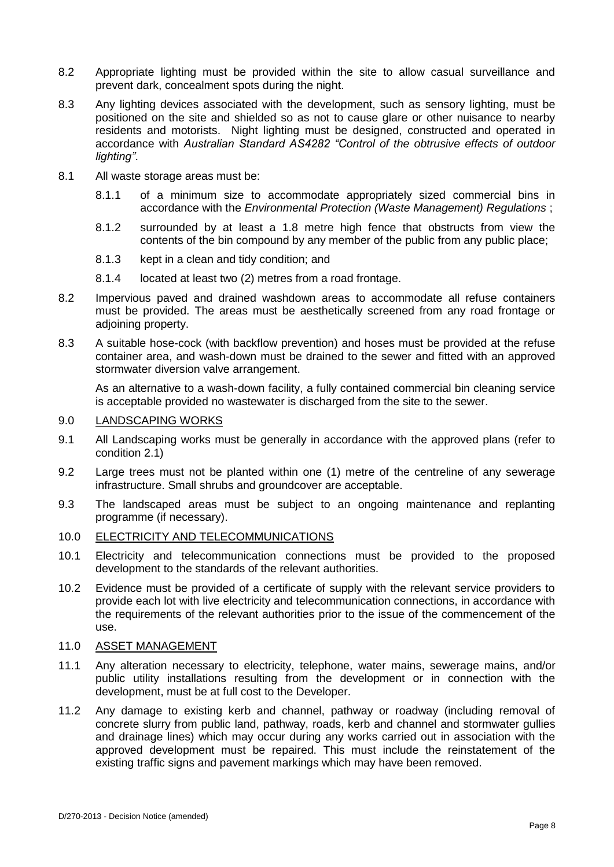- 8.2 Appropriate lighting must be provided within the site to allow casual surveillance and prevent dark, concealment spots during the night.
- 8.3 Any lighting devices associated with the development, such as sensory lighting, must be positioned on the site and shielded so as not to cause glare or other nuisance to nearby residents and motorists. Night lighting must be designed, constructed and operated in accordance with *Australian Standard AS4282 "Control of the obtrusive effects of outdoor lighting"*.
- 8.1 All waste storage areas must be:
	- 8.1.1 of a minimum size to accommodate appropriately sized commercial bins in accordance with the *Environmental Protection (Waste Management) Regulations* ;
	- 8.1.2 surrounded by at least a 1.8 metre high fence that obstructs from view the contents of the bin compound by any member of the public from any public place;
	- 8.1.3 kept in a clean and tidy condition; and
	- 8.1.4 located at least two (2) metres from a road frontage.
- 8.2 Impervious paved and drained washdown areas to accommodate all refuse containers must be provided. The areas must be aesthetically screened from any road frontage or adjoining property.
- 8.3 A suitable hose-cock (with backflow prevention) and hoses must be provided at the refuse container area, and wash-down must be drained to the sewer and fitted with an approved stormwater diversion valve arrangement.

As an alternative to a wash-down facility, a fully contained commercial bin cleaning service is acceptable provided no wastewater is discharged from the site to the sewer.

#### 9.0 LANDSCAPING WORKS

- 9.1 All Landscaping works must be generally in accordance with the approved plans (refer to condition 2.1)
- 9.2 Large trees must not be planted within one (1) metre of the centreline of any sewerage infrastructure. Small shrubs and groundcover are acceptable.
- 9.3 The landscaped areas must be subject to an ongoing maintenance and replanting programme (if necessary).

### 10.0 ELECTRICITY AND TELECOMMUNICATIONS

- 10.1 Electricity and telecommunication connections must be provided to the proposed development to the standards of the relevant authorities.
- 10.2 Evidence must be provided of a certificate of supply with the relevant service providers to provide each lot with live electricity and telecommunication connections, in accordance with the requirements of the relevant authorities prior to the issue of the commencement of the use.

### 11.0 ASSET MANAGEMENT

- 11.1 Any alteration necessary to electricity, telephone, water mains, sewerage mains, and/or public utility installations resulting from the development or in connection with the development, must be at full cost to the Developer.
- 11.2 Any damage to existing kerb and channel, pathway or roadway (including removal of concrete slurry from public land, pathway, roads, kerb and channel and stormwater gullies and drainage lines) which may occur during any works carried out in association with the approved development must be repaired. This must include the reinstatement of the existing traffic signs and pavement markings which may have been removed.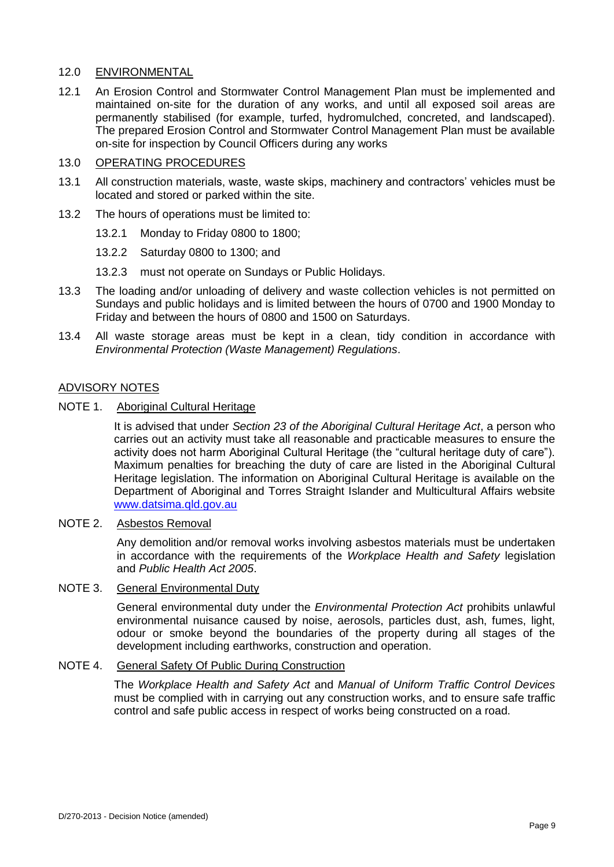## 12.0 ENVIRONMENTAL

12.1 An Erosion Control and Stormwater Control Management Plan must be implemented and maintained on-site for the duration of any works, and until all exposed soil areas are permanently stabilised (for example, turfed, hydromulched, concreted, and landscaped). The prepared Erosion Control and Stormwater Control Management Plan must be available on-site for inspection by Council Officers during any works

#### 13.0 OPERATING PROCEDURES

- 13.1 All construction materials, waste, waste skips, machinery and contractors' vehicles must be located and stored or parked within the site.
- 13.2 The hours of operations must be limited to:
	- 13.2.1 Monday to Friday 0800 to 1800;
	- 13.2.2 Saturday 0800 to 1300; and
	- 13.2.3 must not operate on Sundays or Public Holidays.
- 13.3 The loading and/or unloading of delivery and waste collection vehicles is not permitted on Sundays and public holidays and is limited between the hours of 0700 and 1900 Monday to Friday and between the hours of 0800 and 1500 on Saturdays.
- 13.4 All waste storage areas must be kept in a clean, tidy condition in accordance with *Environmental Protection (Waste Management) Regulations*.

### ADVISORY NOTES

NOTE 1. Aboriginal Cultural Heritage

It is advised that under *Section 23 of the Aboriginal Cultural Heritage Act*, a person who carries out an activity must take all reasonable and practicable measures to ensure the activity does not harm Aboriginal Cultural Heritage (the "cultural heritage duty of care"). Maximum penalties for breaching the duty of care are listed in the Aboriginal Cultural Heritage legislation. The information on Aboriginal Cultural Heritage is available on the Department of Aboriginal and Torres Straight Islander and Multicultural Affairs website [www.datsima.qld.gov.au](http://www.datsima.qld.gov.au/)

NOTE 2. Asbestos Removal

Any demolition and/or removal works involving asbestos materials must be undertaken in accordance with the requirements of the *Workplace Health and Safety* legislation and *Public Health Act 2005*.

### NOTE 3. General Environmental Duty

General environmental duty under the *Environmental Protection Act* prohibits unlawful environmental nuisance caused by noise, aerosols, particles dust, ash, fumes, light, odour or smoke beyond the boundaries of the property during all stages of the development including earthworks, construction and operation.

#### NOTE 4. General Safety Of Public During Construction

The *Workplace Health and Safety Act* and *Manual of Uniform Traffic Control Devices* must be complied with in carrying out any construction works, and to ensure safe traffic control and safe public access in respect of works being constructed on a road.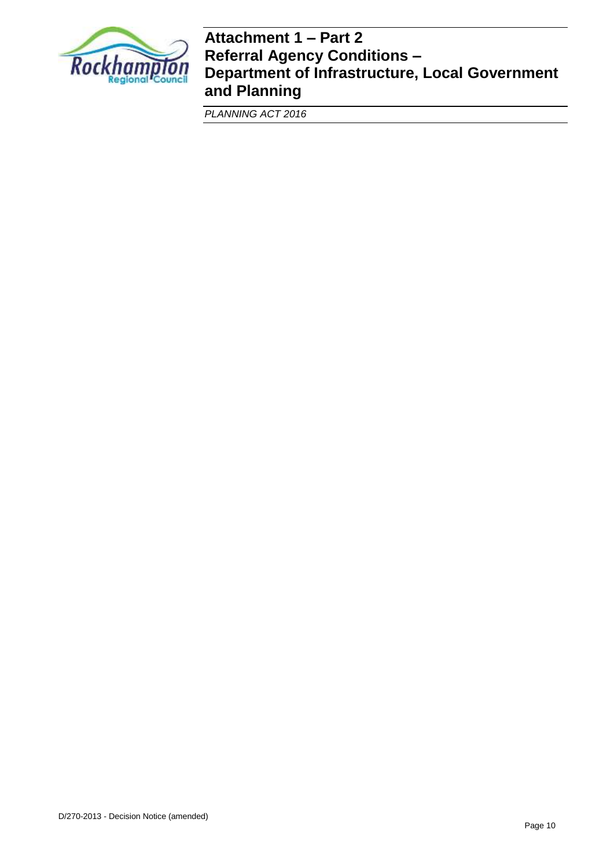

# **Attachment 1 – Part 2 Referral Agency Conditions – Department of Infrastructure, Local Government and Planning**

*PLANNING ACT 2016*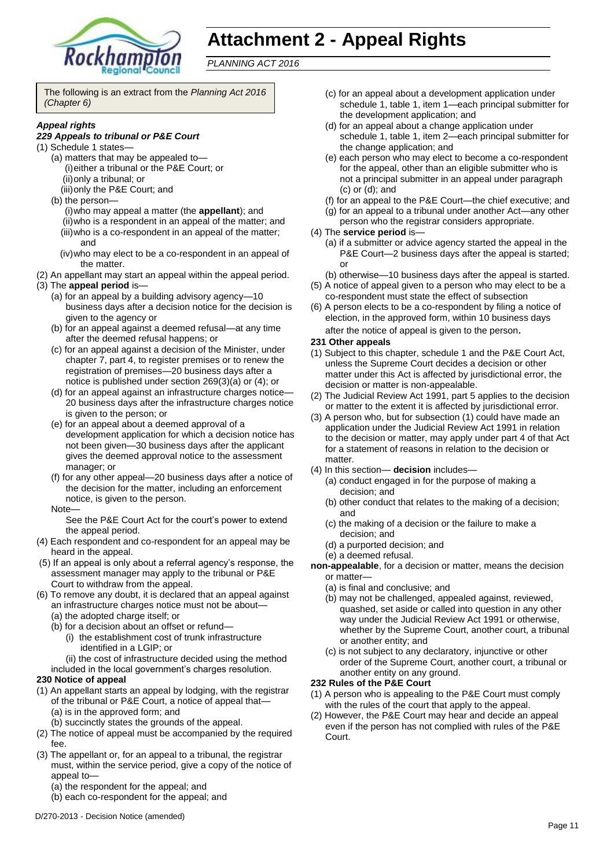

# **Attachment 2 - Appeal Rights**

*PLANNING ACT 2016*

The following is an extract from the *Planning Act 2016 (Chapter 6)*

#### *Appeal rights*

#### *229 Appeals to tribunal or P&E Court*

- (1) Schedule 1 states—
	- (a) matters that may be appealed to— (i)either a tribunal or the P&E Court; or (ii)only a tribunal; or
		- (iii)only the P&E Court; and
	- (b) the person—
		- (i)who may appeal a matter (the **appellant**); and (ii)who is a respondent in an appeal of the matter; and (iii)who is a co-respondent in an appeal of the matter; and
		- (iv)who may elect to be a co-respondent in an appeal of the matter.
- (2) An appellant may start an appeal within the appeal period.
- (3) The **appeal period** is—
	- (a) for an appeal by a building advisory agency—10 business days after a decision notice for the decision is given to the agency or
	- (b) for an appeal against a deemed refusal—at any time after the deemed refusal happens; or
	- (c) for an appeal against a decision of the Minister, under chapter 7, part 4, to register premises or to renew the registration of premises—20 business days after a notice is published under section 269(3)(a) or (4); or
	- (d) for an appeal against an infrastructure charges notice— 20 business days after the infrastructure charges notice is given to the person; or
	- (e) for an appeal about a deemed approval of a development application for which a decision notice has not been given—30 business days after the applicant gives the deemed approval notice to the assessment manager; or
	- (f) for any other appeal—20 business days after a notice of the decision for the matter, including an enforcement notice, is given to the person.
	- Note—

See the P&E Court Act for the court's power to extend the appeal period.

- (4) Each respondent and co-respondent for an appeal may be heard in the appeal.
- (5) If an appeal is only about a referral agency's response, the assessment manager may apply to the tribunal or P&E Court to withdraw from the appeal.
- (6) To remove any doubt, it is declared that an appeal against an infrastructure charges notice must not be about—
	- (a) the adopted charge itself; or
	- (b) for a decision about an offset or refund—
		- (i) the establishment cost of trunk infrastructure identified in a LGIP; or
		- (ii) the cost of infrastructure decided using the method
	- included in the local government's charges resolution.

#### **230 Notice of appeal**

- (1) An appellant starts an appeal by lodging, with the registrar of the tribunal or P&E Court, a notice of appeal that— (a) is in the approved form; and
	- (b) succinctly states the grounds of the appeal.
- (2) The notice of appeal must be accompanied by the required fee.
- (3) The appellant or, for an appeal to a tribunal, the registrar must, within the service period, give a copy of the notice of appeal to—
	- (a) the respondent for the appeal; and
	- (b) each co-respondent for the appeal; and
- (c) for an appeal about a development application under schedule 1, table 1, item 1—each principal submitter for the development application; and
- (d) for an appeal about a change application under schedule 1, table 1, item 2—each principal submitter for the change application; and
- (e) each person who may elect to become a co-respondent for the appeal, other than an eligible submitter who is not a principal submitter in an appeal under paragraph (c) or (d); and
- (f) for an appeal to the P&E Court—the chief executive; and
- (g) for an appeal to a tribunal under another Act—any other
- person who the registrar considers appropriate.
- (4) The **service period** is—
	- (a) if a submitter or advice agency started the appeal in the P&E Court-2 business days after the appeal is started; or
	- (b) otherwise—10 business days after the appeal is started.
- (5) A notice of appeal given to a person who may elect to be a co-respondent must state the effect of subsection
- (6) A person elects to be a co-respondent by filing a notice of election, in the approved form, within 10 business days after the notice of appeal is given to the person*.*

#### **231 Other appeals**

- (1) Subject to this chapter, schedule 1 and the P&E Court Act, unless the Supreme Court decides a decision or other matter under this Act is affected by jurisdictional error, the decision or matter is non-appealable.
- (2) The Judicial Review Act 1991, part 5 applies to the decision or matter to the extent it is affected by jurisdictional error.
- (3) A person who, but for subsection (1) could have made an application under the Judicial Review Act 1991 in relation to the decision or matter, may apply under part 4 of that Act for a statement of reasons in relation to the decision or matter.
- (4) In this section— **decision** includes—
	- (a) conduct engaged in for the purpose of making a decision; and
	- (b) other conduct that relates to the making of a decision; and
	- (c) the making of a decision or the failure to make a decision; and
	- (d) a purported decision; and
	- (e) a deemed refusal.
- **non-appealable**, for a decision or matter, means the decision or matter—
	- (a) is final and conclusive; and
	- (b) may not be challenged, appealed against, reviewed, quashed, set aside or called into question in any other way under the Judicial Review Act 1991 or otherwise, whether by the Supreme Court, another court, a tribunal or another entity; and
	- (c) is not subject to any declaratory, injunctive or other order of the Supreme Court, another court, a tribunal or another entity on any ground.

#### **232 Rules of the P&E Court**

- (1) A person who is appealing to the P&E Court must comply with the rules of the court that apply to the appeal.
- (2) However, the P&E Court may hear and decide an appeal even if the person has not complied with rules of the P&E Court.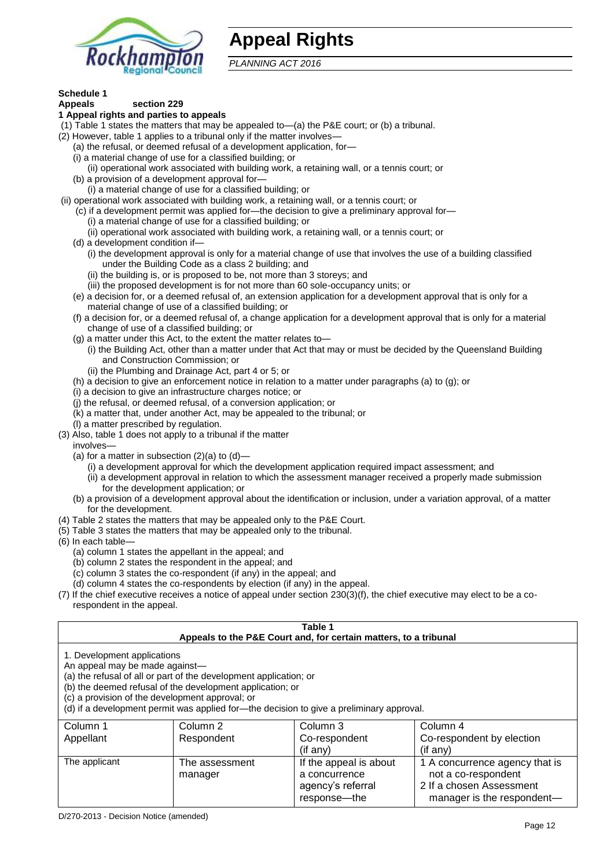

# **Appeal Rights**

*PLANNING ACT 2016*

# **Schedule 1**

#### **Appeals section 229 1 Appeal rights and parties to appeals**

- (1) Table 1 states the matters that may be appealed to—(a) the P&E court; or (b) a tribunal.
- (2) However, table 1 applies to a tribunal only if the matter involves-
	- (a) the refusal, or deemed refusal of a development application, for—
	- (i) a material change of use for a classified building; or
	- (ii) operational work associated with building work, a retaining wall, or a tennis court; or
	- (b) a provision of a development approval for—
	- (i) a material change of use for a classified building; or
- (ii) operational work associated with building work, a retaining wall, or a tennis court; or
	- (c) if a development permit was applied for—the decision to give a preliminary approval for—
		- (i) a material change of use for a classified building; or
		- (ii) operational work associated with building work, a retaining wall, or a tennis court; or
	- (d) a development condition if—
		- (i) the development approval is only for a material change of use that involves the use of a building classified under the Building Code as a class 2 building; and
		- (ii) the building is, or is proposed to be, not more than 3 storeys; and
		- (iii) the proposed development is for not more than 60 sole-occupancy units; or
	- (e) a decision for, or a deemed refusal of, an extension application for a development approval that is only for a material change of use of a classified building; or
	- (f) a decision for, or a deemed refusal of, a change application for a development approval that is only for a material change of use of a classified building; or
	- (g) a matter under this Act, to the extent the matter relates to—
		- (i) the Building Act, other than a matter under that Act that may or must be decided by the Queensland Building and Construction Commission; or
		- (ii) the Plumbing and Drainage Act, part 4 or 5; or
	- (h) a decision to give an enforcement notice in relation to a matter under paragraphs (a) to (g); or
	- (i) a decision to give an infrastructure charges notice; or
	- (j) the refusal, or deemed refusal, of a conversion application; or
	- (k) a matter that, under another Act, may be appealed to the tribunal; or
	- (l) a matter prescribed by regulation.
- (3) Also, table 1 does not apply to a tribunal if the matter
- involves—
	- (a) for a matter in subsection  $(2)(a)$  to  $(d)$ 
		- (i) a development approval for which the development application required impact assessment; and
		- (ii) a development approval in relation to which the assessment manager received a properly made submission for the development application; or
	- (b) a provision of a development approval about the identification or inclusion, under a variation approval, of a matter for the development.
- (4) Table 2 states the matters that may be appealed only to the P&E Court.
- (5) Table 3 states the matters that may be appealed only to the tribunal.
- (6) In each table—
	- (a) column 1 states the appellant in the appeal; and
	- (b) column 2 states the respondent in the appeal; and
	- (c) column 3 states the co-respondent (if any) in the appeal; and
	- (d) column 4 states the co-respondents by election (if any) in the appeal.
- (7) If the chief executive receives a notice of appeal under section 230(3)(f), the chief executive may elect to be a corespondent in the appeal.

| Table 1<br>Appeals to the P&E Court and, for certain matters, to a tribunal                                                                                                                                                                                                                                                                    |                           |                                                                                |                                                                                                                 |  |
|------------------------------------------------------------------------------------------------------------------------------------------------------------------------------------------------------------------------------------------------------------------------------------------------------------------------------------------------|---------------------------|--------------------------------------------------------------------------------|-----------------------------------------------------------------------------------------------------------------|--|
| 1. Development applications<br>An appeal may be made against-<br>(a) the refusal of all or part of the development application; or<br>(b) the deemed refusal of the development application; or<br>(c) a provision of the development approval; or<br>(d) if a development permit was applied for—the decision to give a preliminary approval. |                           |                                                                                |                                                                                                                 |  |
| Column 1<br>Appellant                                                                                                                                                                                                                                                                                                                          | Column 2<br>Respondent    | Column 3<br>Co-respondent<br>(if any)                                          | Column 4<br>Co-respondent by election<br>(if any)                                                               |  |
| The applicant                                                                                                                                                                                                                                                                                                                                  | The assessment<br>manager | If the appeal is about<br>a concurrence<br>agency's referral<br>response---the | 1 A concurrence agency that is<br>not a co-respondent<br>2 If a chosen Assessment<br>manager is the respondent- |  |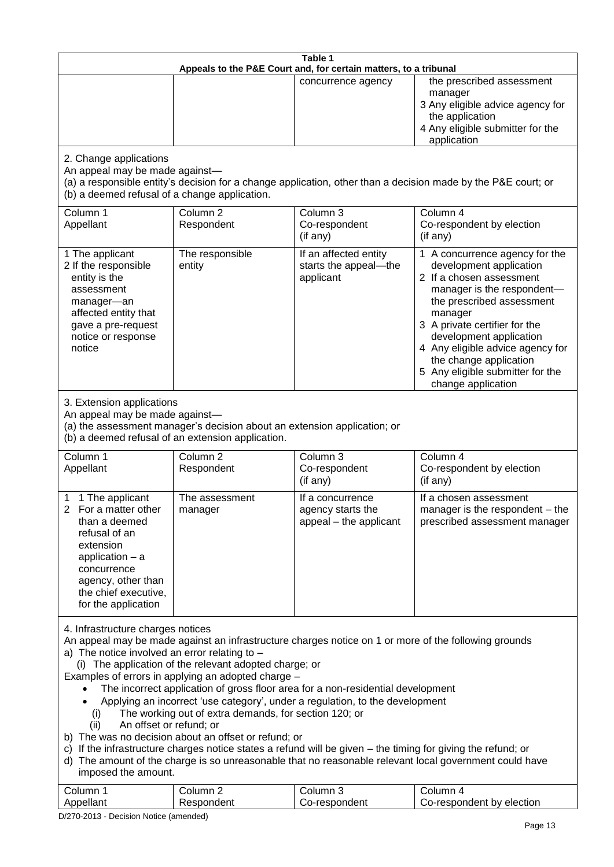| Table 1<br>Appeals to the P&E Court and, for certain matters, to a tribunal                                                                                                                                                                                                                                                                                                                                                                                                                                                                                                                                                                                                                                                                                                                                                                                                                                                                            |                                                                                                                               |                                                                 |                                                                                                                                                                                                                                                                                                                                                 |  |
|--------------------------------------------------------------------------------------------------------------------------------------------------------------------------------------------------------------------------------------------------------------------------------------------------------------------------------------------------------------------------------------------------------------------------------------------------------------------------------------------------------------------------------------------------------------------------------------------------------------------------------------------------------------------------------------------------------------------------------------------------------------------------------------------------------------------------------------------------------------------------------------------------------------------------------------------------------|-------------------------------------------------------------------------------------------------------------------------------|-----------------------------------------------------------------|-------------------------------------------------------------------------------------------------------------------------------------------------------------------------------------------------------------------------------------------------------------------------------------------------------------------------------------------------|--|
|                                                                                                                                                                                                                                                                                                                                                                                                                                                                                                                                                                                                                                                                                                                                                                                                                                                                                                                                                        |                                                                                                                               | concurrence agency                                              | the prescribed assessment<br>manager<br>3 Any eligible advice agency for<br>the application<br>4 Any eligible submitter for the<br>application                                                                                                                                                                                                  |  |
| 2. Change applications<br>An appeal may be made against-<br>(b) a deemed refusal of a change application.                                                                                                                                                                                                                                                                                                                                                                                                                                                                                                                                                                                                                                                                                                                                                                                                                                              |                                                                                                                               |                                                                 | (a) a responsible entity's decision for a change application, other than a decision made by the P&E court; or                                                                                                                                                                                                                                   |  |
| Column 1<br>Appellant                                                                                                                                                                                                                                                                                                                                                                                                                                                                                                                                                                                                                                                                                                                                                                                                                                                                                                                                  | Column <sub>2</sub><br>Respondent                                                                                             | Column 3<br>Co-respondent<br>(if any)                           | Column 4<br>Co-respondent by election<br>(if any)                                                                                                                                                                                                                                                                                               |  |
| 1 The applicant<br>2 If the responsible<br>entity is the<br>assessment<br>manager-an<br>affected entity that<br>gave a pre-request<br>notice or response<br>notice                                                                                                                                                                                                                                                                                                                                                                                                                                                                                                                                                                                                                                                                                                                                                                                     | The responsible<br>entity                                                                                                     | If an affected entity<br>starts the appeal-the<br>applicant     | 1 A concurrence agency for the<br>development application<br>2 If a chosen assessment<br>manager is the respondent-<br>the prescribed assessment<br>manager<br>3 A private certifier for the<br>development application<br>4 Any eligible advice agency for<br>the change application<br>5 Any eligible submitter for the<br>change application |  |
| 3. Extension applications<br>An appeal may be made against-                                                                                                                                                                                                                                                                                                                                                                                                                                                                                                                                                                                                                                                                                                                                                                                                                                                                                            | (a) the assessment manager's decision about an extension application; or<br>(b) a deemed refusal of an extension application. |                                                                 |                                                                                                                                                                                                                                                                                                                                                 |  |
| Column 1<br>Appellant                                                                                                                                                                                                                                                                                                                                                                                                                                                                                                                                                                                                                                                                                                                                                                                                                                                                                                                                  | Column <sub>2</sub><br>Respondent                                                                                             | Column 3<br>Co-respondent<br>(if any)                           | Column 4<br>Co-respondent by election<br>(if any)                                                                                                                                                                                                                                                                                               |  |
| 1 The applicant<br>2 For a matter other<br>than a deemed<br>refusal of an<br>extension<br>application $-$ a<br>concurrence<br>agency, other than<br>the chief executive,<br>for the application                                                                                                                                                                                                                                                                                                                                                                                                                                                                                                                                                                                                                                                                                                                                                        | The assessment<br>manager                                                                                                     | If a concurrence<br>agency starts the<br>appeal - the applicant | If a chosen assessment<br>manager is the respondent - the<br>prescribed assessment manager                                                                                                                                                                                                                                                      |  |
| 4. Infrastructure charges notices<br>An appeal may be made against an infrastructure charges notice on 1 or more of the following grounds<br>a) The notice involved an error relating to $-$<br>(i) The application of the relevant adopted charge; or<br>Examples of errors in applying an adopted charge -<br>The incorrect application of gross floor area for a non-residential development<br>Applying an incorrect 'use category', under a regulation, to the development<br>The working out of extra demands, for section 120; or<br>(i)<br>An offset or refund; or<br>(ii)<br>b) The was no decision about an offset or refund; or<br>c) If the infrastructure charges notice states a refund will be given – the timing for giving the refund; or<br>d) The amount of the charge is so unreasonable that no reasonable relevant local government could have<br>imposed the amount.<br>Column 3<br>Column 1<br>Column <sub>2</sub><br>Column 4 |                                                                                                                               |                                                                 |                                                                                                                                                                                                                                                                                                                                                 |  |
| Appellant                                                                                                                                                                                                                                                                                                                                                                                                                                                                                                                                                                                                                                                                                                                                                                                                                                                                                                                                              | Respondent                                                                                                                    | Co-respondent                                                   | Co-respondent by election                                                                                                                                                                                                                                                                                                                       |  |

D/270-2013 - Decision Notice (amended)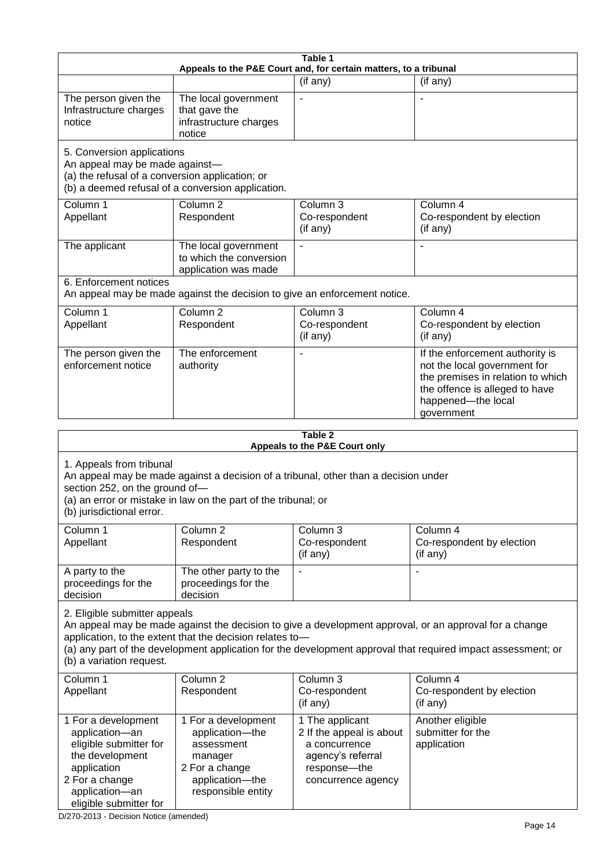|                                                                                                                 |                                                                                                                                                       | Table 1                                                          |                                                                                                                                                                                                                        |
|-----------------------------------------------------------------------------------------------------------------|-------------------------------------------------------------------------------------------------------------------------------------------------------|------------------------------------------------------------------|------------------------------------------------------------------------------------------------------------------------------------------------------------------------------------------------------------------------|
|                                                                                                                 |                                                                                                                                                       | Appeals to the P&E Court and, for certain matters, to a tribunal |                                                                                                                                                                                                                        |
|                                                                                                                 |                                                                                                                                                       | (if any)                                                         | (if any)                                                                                                                                                                                                               |
| The person given the<br>Infrastructure charges<br>notice                                                        | The local government<br>that gave the<br>infrastructure charges<br>notice                                                                             |                                                                  |                                                                                                                                                                                                                        |
| 5. Conversion applications<br>An appeal may be made against-<br>(a) the refusal of a conversion application; or | (b) a deemed refusal of a conversion application.                                                                                                     |                                                                  |                                                                                                                                                                                                                        |
| Column 1<br>Appellant                                                                                           | Column <sub>2</sub><br>Respondent                                                                                                                     | Column 3<br>Co-respondent<br>(if any)                            | Column 4<br>Co-respondent by election<br>(if any)                                                                                                                                                                      |
| The applicant                                                                                                   | The local government<br>to which the conversion<br>application was made                                                                               |                                                                  |                                                                                                                                                                                                                        |
| 6. Enforcement notices                                                                                          | An appeal may be made against the decision to give an enforcement notice.                                                                             |                                                                  |                                                                                                                                                                                                                        |
| Column 1<br>Appellant                                                                                           | Column <sub>2</sub><br>Respondent                                                                                                                     | Column 3<br>Co-respondent<br>(if any)                            | Column 4<br>Co-respondent by election<br>(if any)                                                                                                                                                                      |
| The person given the<br>enforcement notice                                                                      | The enforcement<br>authority                                                                                                                          |                                                                  | If the enforcement authority is<br>not the local government for<br>the premises in relation to which<br>the offence is alleged to have<br>happened-the local<br>government                                             |
|                                                                                                                 |                                                                                                                                                       | Table 2                                                          |                                                                                                                                                                                                                        |
|                                                                                                                 |                                                                                                                                                       | Appeals to the P&E Court only                                    |                                                                                                                                                                                                                        |
| 1. Appeals from tribunal<br>section 252, on the ground of-<br>(b) jurisdictional error.                         | An appeal may be made against a decision of a tribunal, other than a decision under<br>(a) an error or mistake in law on the part of the tribunal; or |                                                                  |                                                                                                                                                                                                                        |
| Column 1<br>Appellant                                                                                           | Column <sub>2</sub><br>Respondent                                                                                                                     | Column 3<br>Co-respondent<br>(if any)                            | Column 4<br>Co-respondent by election<br>(if any)                                                                                                                                                                      |
| A party to the<br>proceedings for the<br>decision                                                               | The other party to the<br>proceedings for the<br>decision                                                                                             |                                                                  |                                                                                                                                                                                                                        |
| 2. Eligible submitter appeals<br>(b) a variation request.                                                       | application, to the extent that the decision relates to-                                                                                              |                                                                  | An appeal may be made against the decision to give a development approval, or an approval for a change<br>(a) any part of the development application for the development approval that required impact assessment; or |
| Column 1<br>Appellant                                                                                           | Column <sub>2</sub><br>Respondent                                                                                                                     | Column 3<br>Co-respondent<br>(if any)                            | Column $\overline{4}$<br>Co-respondent by election<br>(if any)                                                                                                                                                         |
| 1 For a development<br>application-an<br>eligible submitter for                                                 | 1 For a development<br>application-the<br>assessment                                                                                                  | 1 The applicant<br>2 If the appeal is about<br>a concurrence     | Another eligible<br>submitter for the<br>application                                                                                                                                                                   |

agency's referral response—the concurrence agency

D/270-2013 - Decision Notice (amended)

manager 2 For a change application—the responsible entity

the development application 2 For a change application—an eligible submitter for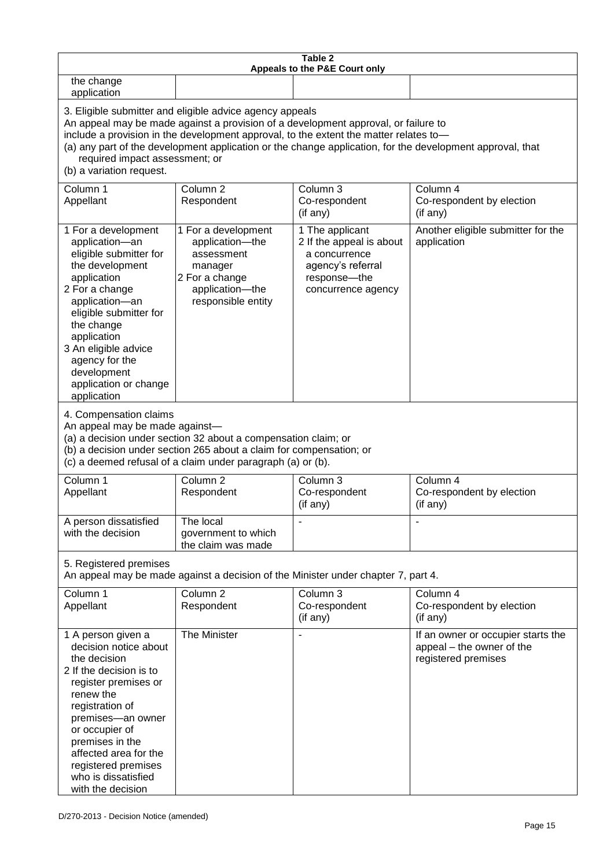| Table 2<br>Appeals to the P&E Court only                                                                                                                                                                                                                                                                                                                                                                           |                                                                                                                                                                                                                                                                  |                                                                                                                         |                                                                                        |  |  |
|--------------------------------------------------------------------------------------------------------------------------------------------------------------------------------------------------------------------------------------------------------------------------------------------------------------------------------------------------------------------------------------------------------------------|------------------------------------------------------------------------------------------------------------------------------------------------------------------------------------------------------------------------------------------------------------------|-------------------------------------------------------------------------------------------------------------------------|----------------------------------------------------------------------------------------|--|--|
| the change<br>application                                                                                                                                                                                                                                                                                                                                                                                          |                                                                                                                                                                                                                                                                  |                                                                                                                         |                                                                                        |  |  |
| 3. Eligible submitter and eligible advice agency appeals<br>An appeal may be made against a provision of a development approval, or failure to<br>include a provision in the development approval, to the extent the matter relates to-<br>(a) any part of the development application or the change application, for the development approval, that<br>required impact assessment; or<br>(b) a variation request. |                                                                                                                                                                                                                                                                  |                                                                                                                         |                                                                                        |  |  |
| Column 1<br>Appellant                                                                                                                                                                                                                                                                                                                                                                                              | Column <sub>2</sub><br>Respondent                                                                                                                                                                                                                                | Column 3<br>Co-respondent<br>(if any)                                                                                   | Column 4<br>Co-respondent by election<br>(if any)                                      |  |  |
| 1 For a development<br>application-an<br>eligible submitter for<br>the development<br>application<br>2 For a change<br>application-an<br>eligible submitter for<br>the change<br>application<br>3 An eligible advice<br>agency for the<br>development<br>application or change<br>application                                                                                                                      | 1 For a development<br>application-the<br>assessment<br>manager<br>2 For a change<br>application-the<br>responsible entity                                                                                                                                       | 1 The applicant<br>2 If the appeal is about<br>a concurrence<br>agency's referral<br>response-the<br>concurrence agency | Another eligible submitter for the<br>application                                      |  |  |
|                                                                                                                                                                                                                                                                                                                                                                                                                    | 4. Compensation claims<br>An appeal may be made against-<br>(a) a decision under section 32 about a compensation claim; or<br>(b) a decision under section 265 about a claim for compensation; or<br>(c) a deemed refusal of a claim under paragraph (a) or (b). |                                                                                                                         |                                                                                        |  |  |
| Column 1<br>Appellant                                                                                                                                                                                                                                                                                                                                                                                              | Column <sub>2</sub><br>Respondent                                                                                                                                                                                                                                | Column 3<br>Co-respondent<br>(if any)                                                                                   | Column 4<br>Co-respondent by election<br>(if any)                                      |  |  |
| A person dissatisfied<br>with the decision                                                                                                                                                                                                                                                                                                                                                                         | The local<br>government to which<br>the claim was made                                                                                                                                                                                                           |                                                                                                                         |                                                                                        |  |  |
| 5. Registered premises<br>An appeal may be made against a decision of the Minister under chapter 7, part 4.                                                                                                                                                                                                                                                                                                        |                                                                                                                                                                                                                                                                  |                                                                                                                         |                                                                                        |  |  |
| Column 1<br>Appellant                                                                                                                                                                                                                                                                                                                                                                                              | Column <sub>2</sub><br>Respondent                                                                                                                                                                                                                                | Column 3<br>Co-respondent<br>(if any)                                                                                   | Column 4<br>Co-respondent by election<br>(if any)                                      |  |  |
| 1 A person given a<br>decision notice about<br>the decision<br>2 If the decision is to<br>register premises or<br>renew the<br>registration of<br>premises-an owner<br>or occupier of<br>premises in the<br>affected area for the<br>registered premises<br>who is dissatisfied<br>with the decision                                                                                                               | The Minister                                                                                                                                                                                                                                                     |                                                                                                                         | If an owner or occupier starts the<br>appeal - the owner of the<br>registered premises |  |  |